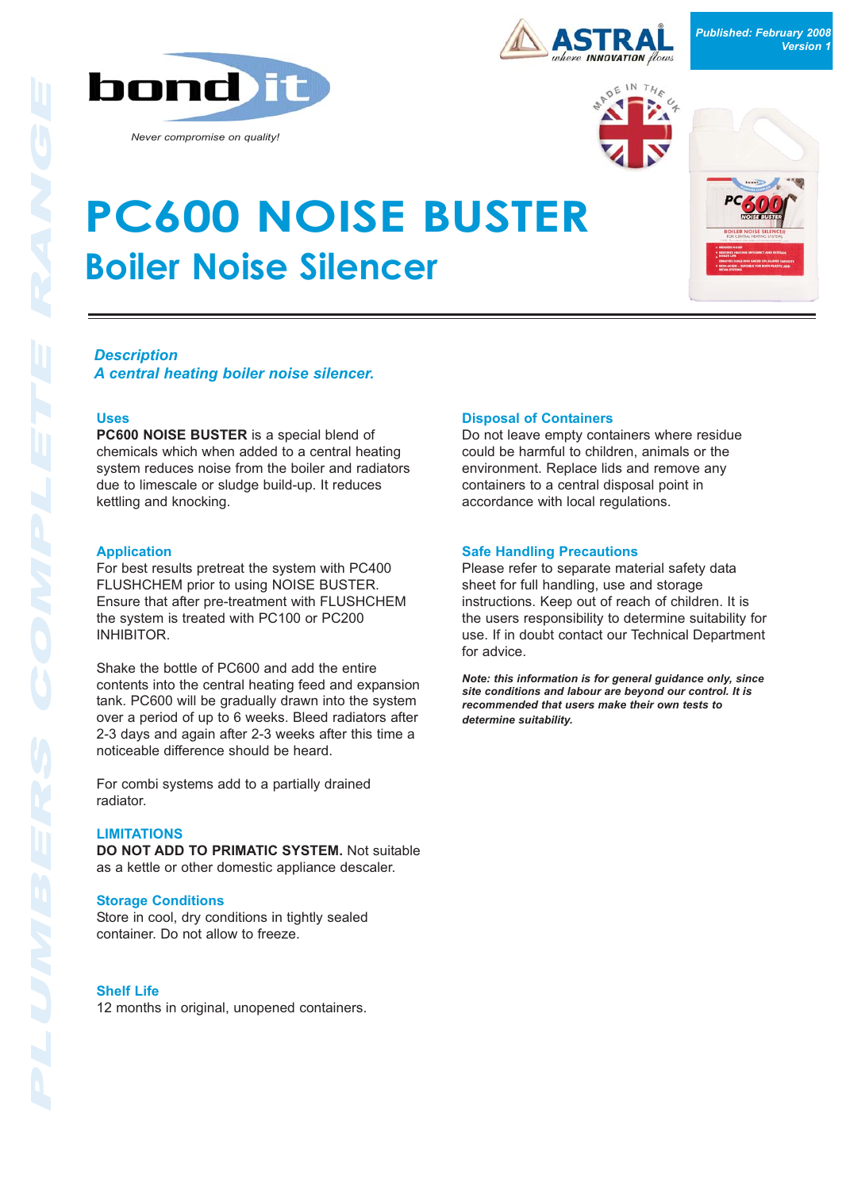

*Never compromise on quality!*



*Published: February 2008 Version 1*



# **PC600 NOISE BUSTER Boiler Noise Silencer**



## *Description*

*A central heating boiler noise silencer.*

## **Uses**

**PC600 NOISE BUSTER** is a special blend of chemicals which when added to a central heating system reduces noise from the boiler and radiators due to limescale or sludge build-up. It reduces kettling and knocking.

#### **Application**

For best results pretreat the system with PC400 FLUSHCHEM prior to using NOISE BUSTER. Ensure that after pre-treatment with FLUSHCHEM the system is treated with PC100 or PC200 INHIBITOR.

Shake the bottle of PC600 and add the entire contents into the central heating feed and expansion tank. PC600 will be gradually drawn into the system over a period of up to 6 weeks. Bleed radiators after 2-3 days and again after 2-3 weeks after this time a noticeable difference should be heard.

For combi systems add to a partially drained radiator.

#### **LIMITATIONS**

**DO NOT ADD TO PRIMATIC SYSTEM.** Not suitable as a kettle or other domestic appliance descaler.

#### **Storage Conditions**

Store in cool, dry conditions in tightly sealed container. Do not allow to freeze.

## **Shelf Life**

12 months in original, unopened containers.

#### **Disposal of Containers**

Do not leave empty containers where residue could be harmful to children, animals or the environment. Replace lids and remove any containers to a central disposal point in accordance with local regulations.

#### **Safe Handling Precautions**

Please refer to separate material safety data sheet for full handling, use and storage instructions. Keep out of reach of children. It is the users responsibility to determine suitability for use. If in doubt contact our Technical Department for advice.

*Note: this information is for general guidance only, since site conditions and labour are beyond our control. It is recommended that users make their own tests to determine suitability.*